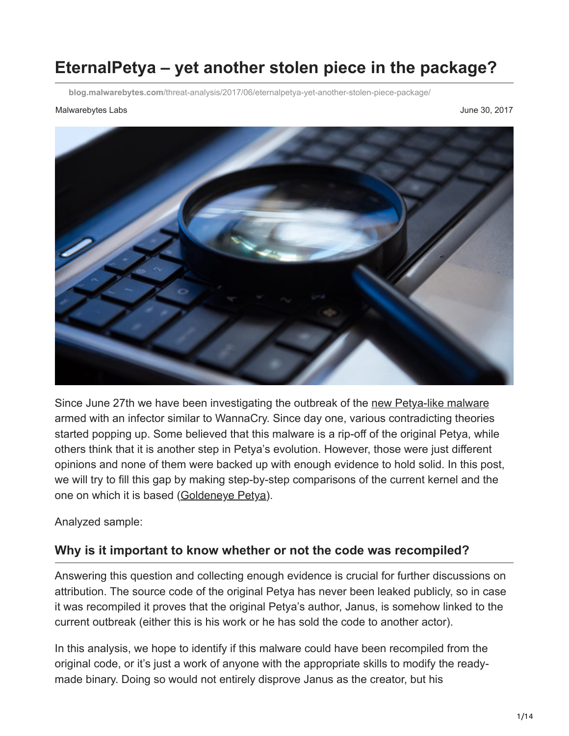# **EternalPetya – yet another stolen piece in the package?**

**blog.malwarebytes.com**[/threat-analysis/2017/06/eternalpetya-yet-another-stolen-piece-package/](https://blog.malwarebytes.com/threat-analysis/2017/06/eternalpetya-yet-another-stolen-piece-package/)

#### Malwarebytes Labs **June 30, 2017**



Since June 27th we have been investigating the outbreak of the [new Petya-like malware](https://blog.malwarebytes.com/cybercrime/2017/06/petya-esque-ransomware-is-spreading-across-the-world/) armed with an infector similar to WannaCry. Since day one, various contradicting theories started popping up. Some believed that this malware is a rip-off of the original Petya, while others think that it is another step in Petya's evolution. However, those were just different opinions and none of them were backed up with enough evidence to hold solid. In this post, we will try to fill this gap by making step-by-step comparisons of the current kernel and the one on which it is based [\(Goldeneye Petya](https://blog.malwarebytes.com/threat-analysis/2016/12/goldeneye-ransomware-the-petyamischa-combo-rebranded/)).

Analyzed sample:

## **Why is it important to know whether or not the code was recompiled?**

Answering this question and collecting enough evidence is crucial for further discussions on attribution. The source code of the original Petya has never been leaked publicly, so in case it was recompiled it proves that the original Petya's author, Janus, is somehow linked to the current outbreak (either this is his work or he has sold the code to another actor).

In this analysis, we hope to identify if this malware could have been recompiled from the original code, or it's just a work of anyone with the appropriate skills to modify the readymade binary. Doing so would not entirely disprove Janus as the creator, but his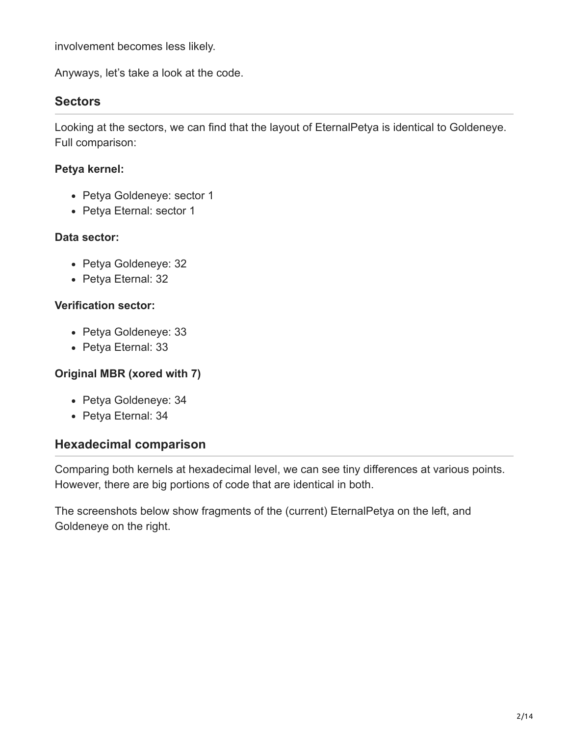involvement becomes less likely.

Anyways, let's take a look at the code.

# **Sectors**

Looking at the sectors, we can find that the layout of EternalPetya is identical to Goldeneye. Full comparison:

#### **Petya kernel:**

- Petya Goldeneye: sector 1
- Petya Eternal: sector 1

#### **Data sector:**

- Petya Goldeneye: 32
- Petya Eternal: 32

#### **Verification sector:**

- Petya Goldeneye: 33
- Petya Eternal: 33

#### **Original MBR (xored with 7)**

- Petya Goldeneye: 34
- Petya Eternal: 34

## **Hexadecimal comparison**

Comparing both kernels at hexadecimal level, we can see tiny differences at various points. However, there are big portions of code that are identical in both.

The screenshots below show fragments of the (current) EternalPetya on the left, and Goldeneye on the right.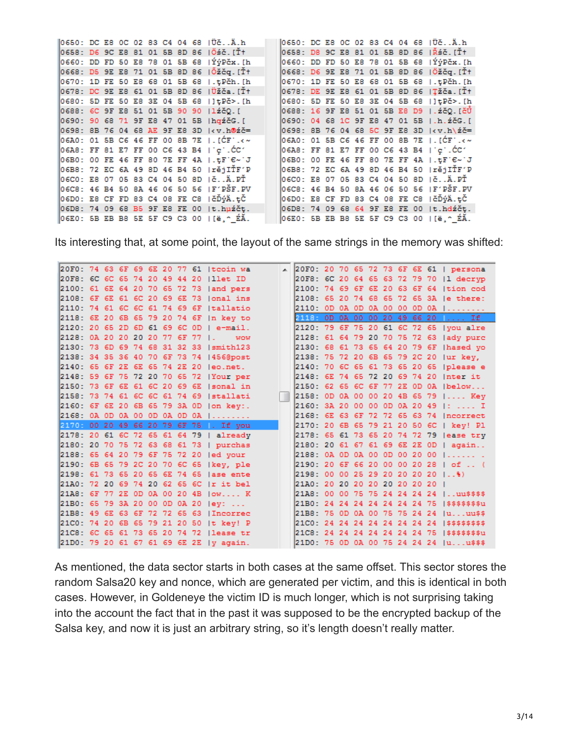|  |  |  |  | 0650: DC E8 0C 02 83 C4 04 68 1UčA.h       |  |  |  |  |  | 0650: DC E8 0C 02 83 C4 04 68 1UčA.h       |
|--|--|--|--|--------------------------------------------|--|--|--|--|--|--------------------------------------------|
|  |  |  |  | 0658: D6 9C E8 81 01 5B 8D 86  Öśč.[Ť†     |  |  |  |  |  | 0658: D8 9C E8 81 01 5B 8D 86  Řśč.[Ťt     |
|  |  |  |  | 0660: DD FD 50 E8 78 01 5B 68  ÝýPčx.[h    |  |  |  |  |  | 0660: DD FD 50 E8 78 01 5B 68  ÝýPčx.[h    |
|  |  |  |  | 0668: D5 9E E8 71 01 5B 8D 86  Őžčq.[Ť†    |  |  |  |  |  | 0668: D6 9E E8 71 01 5B 8D 86  Öžčq.[Ť†    |
|  |  |  |  | 0670: 1D FE 50 E8 68 01 5B 68   .tPch. [h  |  |  |  |  |  | 0670: 1D FE 50 E8 68 01 5B 68   .tPch. [h  |
|  |  |  |  | 0678: DC 9E E8 61 01 5B 8D 86  Üžča.[Ť†    |  |  |  |  |  | 0678: DE 9E E8 61 01 5B 8D 86  TŽČa.[Ť†    |
|  |  |  |  | 0680: 5D FE 50 E8 3E 04 5B 68   ] tPc>. [h |  |  |  |  |  | 0680: 5D FE 50 E8 3E 04 5B 68   ] tPč>.[h  |
|  |  |  |  | 0688: 6C 9F E8 51 01 5B 90 90   1źčQ.[     |  |  |  |  |  | 0688: 16 9F E8 51 01 5B E8 D9   . źčQ. [čŮ |
|  |  |  |  | 0690: 90 68 71 9F E8 47 01 5B   hgźčG. [   |  |  |  |  |  | 0690: 04 68 1C 9F E8 47 01 5B   h. źčG. [  |
|  |  |  |  | 0698: 8B 76 04 68 AE 9F E8 3D kv.h@źč=     |  |  |  |  |  | 0698: 8B 76 04 68 5C 9F E8 3D kv.h\źč=     |
|  |  |  |  | 06A0: 01 5B C6 46 FF 00 8B 7E   [CF] .< ~  |  |  |  |  |  | 06A0: 01 5B C6 46 FF 00 8B 7E   [ĆF] .< ~  |
|  |  |  |  | 06A8: FF 81 E7 FF 00 C6 43 B4   c'.CC'     |  |  |  |  |  | $06AB: FF 81 E7 FF 00 CG 43 B4   'c'.CC'$  |
|  |  |  |  | 06B0: 00 FE 46 FF 80 7E FF 4A   .tF E~'J   |  |  |  |  |  | 06B0: 00 FE 46 FF 80 7E FF 4A   .tF E~ J   |
|  |  |  |  | 06B8: 72 EC 6A 49 8D 46 B4 50   rejITF'P   |  |  |  |  |  | 06B8: 72 EC 6A 49 8D 46 B4 50  rějIŤF'P    |
|  |  |  |  | 06CO: E8 07 05 83 C4 04 50 8D 1čÄ.PŤ       |  |  |  |  |  | 06CO: E8 07 05 83 C4 04 50 8D  čÄ.PŤ       |
|  |  |  |  | 06C8: 46 B4 50 8A 46 06 50 56   F'PŠF.PV   |  |  |  |  |  | 06C8: 46 B4 50 8A 46 06 50 56  F'PŠF.PV    |
|  |  |  |  | O6DO: E8 CF FD 83 C4 08 FE C8   čĎýÄ.tČ    |  |  |  |  |  | O6DO: E8 CF FD 83 C4 08 FE C8  čĎýÄ.tČ     |
|  |  |  |  | 06D8: 74 09 68 B5 9F E8 FE 00  t.huźčt.    |  |  |  |  |  | 06D8: 74 09 68 64 9F E8 FE 00  t.hdźčt.    |
|  |  |  |  | O6E0: 5B EB B8 5E 5F C9 C3 00   [ë] ^ ÉĂ.  |  |  |  |  |  | O6E0: 5B EB B8 5E 5F C9 C3 00   [ë] ^ ÉĂ.  |

Its interesting that, at some point, the layout of the same strings in the memory was shifted:

|                                  |  |  |  |  | 20F0: 74 63 6F 69 6E 20 77 61   tcoin wa    |                                 |  |  |  |  | A 20F0: 20 70 65 72 73 6F 6E 61   persona            |
|----------------------------------|--|--|--|--|---------------------------------------------|---------------------------------|--|--|--|--|------------------------------------------------------|
|                                  |  |  |  |  | 20F8: 6C 6C 65 74 20 49 44 20   llet ID     |                                 |  |  |  |  | 20F8: 6C 20 64 65 63 72 79 70  l decryp              |
|                                  |  |  |  |  | 2100: 61 6E 64 20 70 65 72 73  and pers     |                                 |  |  |  |  | 2100: 74 69 6F 6E 20 63 6F 64   tion cod             |
|                                  |  |  |  |  | $2108: 6F 6E 61 6C 20 69 6E 73$ $lonal ins$ |                                 |  |  |  |  | 2108: 65 20 74 68 65 72 65 3A le there:              |
|                                  |  |  |  |  | 2110: 74 61 6C 6C 61 74 69 6F Itallatio     |                                 |  |  |  |  | $[2110:$ OD OA OD OA OO OO OD OA $ $                 |
|                                  |  |  |  |  | 2118: 6E 20 6B 65 79 20 74 6F   n key to    |                                 |  |  |  |  | 2118: OD OA OO OO 20 49 66 20   If                   |
|                                  |  |  |  |  | 2120: 20 65 2D 6D 61 69 6C 0D   e-mail.     |                                 |  |  |  |  | 2120: 79 6F 75 20 61 6C 72 65 (you alre              |
| 2128: 0A 20 20 20 20 77 6F 77 1. |  |  |  |  | <b>WOW</b>                                  |                                 |  |  |  |  | 2128: 61 64 79 20 70 75 72 63  ady purc              |
|                                  |  |  |  |  | 2130: 73 6D 69 74 68 31 32 33 Ismith123     |                                 |  |  |  |  | 2130: 68 61 73 65 64 20 79 6F   hased yo             |
|                                  |  |  |  |  | 2138: 34 35 36 40 70 6F 73 74   456@post    |                                 |  |  |  |  | 2138: 75 72 20 6B 65 79 2C 20 Jur key,               |
|                                  |  |  |  |  | 2140: 65 6F 2E 6E 65 74 2E 20 leo.net.      |                                 |  |  |  |  | 2140: 70 6C 65 61 73 65 20 65   please e             |
|                                  |  |  |  |  | 2148: 59 6F 75 72 20 70 65 72   Your per    |                                 |  |  |  |  | 2148: 6E 74 65 72 20 69 74 20   nter it              |
|                                  |  |  |  |  | 2150: 73 6F 6E 61 6C 20 69 6E   sonal in    |                                 |  |  |  |  | 2150: 62 65 6C 6F 77 2E 0D 0A   below                |
|                                  |  |  |  |  | 2158: 73 74 61 6C 6C 61 74 69  stallati     |                                 |  |  |  |  | 2158: OD OA OO OO 20 4B 65 79   Key                  |
|                                  |  |  |  |  | 2160: 6F 6E 20 6B 65 79 3A 0D   on key:.    |                                 |  |  |  |  | $2160: 3A 20 00 00 0D 0A 20 49 1:  I$                |
|                                  |  |  |  |  | $2168:$ OA OD OA OO OD OA OD OA $ $         |                                 |  |  |  |  | 2168: 6E 63 6F 72 72 65 63 74 Incorrect              |
|                                  |  |  |  |  | 2170: 00 20 49 66 20 79 6F 75 . If you      |                                 |  |  |  |  | 2170: 20 6B 65 79 21 20 50 6C   key! Pl              |
|                                  |  |  |  |  | 2178: 20 61 6C 72 65 61 64 79   already     |                                 |  |  |  |  | 2178: 65 61 73 65 20 74 72 79 lease try              |
|                                  |  |  |  |  | 2180: 20 70 75 72 63 68 61 73   purchas     |                                 |  |  |  |  | $[2180: 20 61 67 61 69 6E 2E 0D   again]$            |
|                                  |  |  |  |  | 2188: 65 64 20 79 6F 75 72 20 led your      |                                 |  |  |  |  | $ 2188:$ OA OD OA OO OD OO 20 OO $  $                |
|                                  |  |  |  |  | 2190: 6B 65 79 2C 20 70 6C 65   key, ple    |                                 |  |  |  |  | $ 2190: 20 6F 66 20 00 00 20 28   of $               |
|                                  |  |  |  |  | 2198: 61 73 65 20 65 6E 74 65 lase ente     |                                 |  |  |  |  | 2198: 00 00 25 29 20 20 20 20                        |
|                                  |  |  |  |  | 21A0: 72 20 69 74 20 62 65 6C  r it bel     | 21A0: 20 20 20 20 20 20 20 20 1 |  |  |  |  |                                                      |
|                                  |  |  |  |  | 21A8: 6F 77 2E OD 0A 00 20 4B   ow K        |                                 |  |  |  |  | 21AB: 00 00 75 75 24 24 24 24                        |
|                                  |  |  |  |  | 21B0: 65 79 3A 20 00 0D 0A 20 lev:          |                                 |  |  |  |  | 21B0: 24 24 24 24 24 24 24 75   \$\$\$\$\$\$\$\$u    |
|                                  |  |  |  |  | 21B8: 49 6E 63 6F 72 72 65 63   Incorrec    |                                 |  |  |  |  | 21B8: 75 0D 0A 00 75 75 24 24  uuu\$\$               |
|                                  |  |  |  |  | 21C0: 74 20 6B 65 79 21 20 50  t key! P     |                                 |  |  |  |  | 21C0: 24 24 24 24 24 24 24 24 1\$\$\$\$\$\$\$\$      |
|                                  |  |  |  |  | 21C8: 6C 65 61 73 65 20 74 72   lease tr    |                                 |  |  |  |  | 21C8: 24 24 24 24 24 24 24 24 75   \$\$\$\$\$\$\$\$u |
|                                  |  |  |  |  | 21D0: 79 20 61 67 61 69 6E 2E   v again.    |                                 |  |  |  |  | 21D0: 75 OD 0A 00 75 24 24 24  uu\$\$\$              |

As mentioned, the data sector starts in both cases at the same offset. This sector stores the random Salsa20 key and nonce, which are generated per victim, and this is identical in both cases. However, in Goldeneye the victim ID is much longer, which is not surprising taking into the account the fact that in the past it was supposed to be the encrypted backup of the Salsa key, and now it is just an arbitrary string, so it's length doesn't really matter.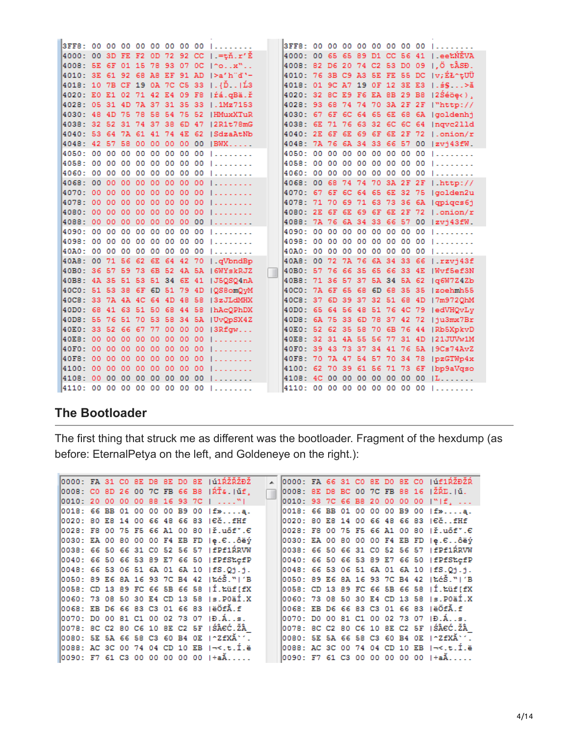|  |  |  |  | 3FF8: 00 00 00 00 00 00 00 00              |  |  |  |  |  | 3FF8: 00 00 00 00 00 00 00 00 1            |
|--|--|--|--|--------------------------------------------|--|--|--|--|--|--------------------------------------------|
|  |  |  |  | 4000: 00 3D FE F2 0D 72 92 CC   .=tň.r'Ě   |  |  |  |  |  | 4000: 00 65 65 89 D1 CC 56 41   ee‰NEVA    |
|  |  |  |  | 4008: 5E 6F 01 15 78 93 07 0C 1^ox"        |  |  |  |  |  | 4008: 82 D6 20 74 C2 53 D0 09 1.0 tÂSĐ.    |
|  |  |  |  | 4010: 3E 61 92 68 A8 EF 91 AD  >a'h"d'-    |  |  |  |  |  | 4010: 76 3B C9 A3 5E FE 55 DC   v; ÉŁ^tUÜ  |
|  |  |  |  | 4018: 10 7B CF 19 0A 7C C5 33   {Dّ.   L43 |  |  |  |  |  | 4018: 01 9C A7 19 OF 12 3E E3   . \$ § > ă |
|  |  |  |  | 4020: E0 E1 02 71 42 E4 09 F8   fá. gBä. ř |  |  |  |  |  | 4020: 32 BC E9 F6 EA BB 29 BB   2Séöe<).   |
|  |  |  |  | 4028: 05 31 4D 7A 37 31 35 33 1.1Mz7153    |  |  |  |  |  | 4028: 93 68 74 74 70 3A 2F 2F   "http://   |
|  |  |  |  | 4030: 48 4D 75 78 58 54 75 52 HMuxXTuR     |  |  |  |  |  | 4030: 67 6F 6C 64 65 6E 68 6A (goldenhj    |
|  |  |  |  | 4038: 32 52 31 74 37 38 6D 47   2R1t78mG   |  |  |  |  |  | 4038: 6E 71 76 63 32 6C 6C 64   ngvc211d   |
|  |  |  |  | 4040: 53 64 7A 61 41 74 4E 62 ISdzaAtNb    |  |  |  |  |  | 4040: 2E 6F 6E 69 6F 6E 2F 72 1.onion/r    |
|  |  |  |  | 4048: 42 57 58 00 00 00 00 00 IBWX         |  |  |  |  |  | 4048: 7A 76 6A 34 33 66 57 00  zvi43fW.    |
|  |  |  |  | 4050: 00 00 00 00 00 00 00 00              |  |  |  |  |  | 4050: 00 00 00 00 00 00 00 00 1            |
|  |  |  |  | 4058: 00 00 00 00 00 00 00 00              |  |  |  |  |  | 4058: 00 00 00 00 00 00 00 00 1            |
|  |  |  |  | 4060: 00 00 00 00 00 00 00 00              |  |  |  |  |  | 4060: 00 00 00 00 00 00 00 00 1            |
|  |  |  |  | 4068: 00 00 00 00 00 00 00 00              |  |  |  |  |  | 4068: 00 68 74 74 70 3A 2F 2F   http://    |
|  |  |  |  | 4070: 00 00 00 00 00 00 00 00              |  |  |  |  |  | 4070: 67 6F 6C 64 65 6E 32 75  golden2u    |
|  |  |  |  | 4078: 00 00 00 00 00 00 00 00              |  |  |  |  |  | 4078: 71 70 69 71 63 73 36 6A   qpiqcs6j   |
|  |  |  |  | 4080: 00 00 00 00 00 00 00 00              |  |  |  |  |  | 4080: 2E 6F 6E 69 6F 6E 2F 72   .onion/r   |
|  |  |  |  | 4088: 00 00 00 00 00 00 00 00              |  |  |  |  |  | 4088: 7A 76 6A 34 33 66 57 00  zvi43fW.    |
|  |  |  |  | 4090: 00 00 00 00 00 00 00 00              |  |  |  |  |  | 4090: 00 00 00 00 00 00 00 00 1            |
|  |  |  |  | 4098: 00 00 00 00 00 00 00 00              |  |  |  |  |  | 4098: 00 00 00 00 00 00 00 00 1            |
|  |  |  |  | 40A0: 00 00 00 00 00 00 00 00              |  |  |  |  |  | 40A0: 00 00 00 00 00 00 00 00 00           |
|  |  |  |  | 40A8: 00 71 56 62 6E 64 42 70   .qVbndBp   |  |  |  |  |  | 40A8: 00 72 7A 76 6A 34 33 66   rzvi43f    |
|  |  |  |  | 40B0: 36 57 59 73 6B 52 4A 5A 16WYskRJZ    |  |  |  |  |  | 40B0: 57 76 66 35 65 66 33 4E   Wyf5ef3N   |
|  |  |  |  | 40B8: 4A 35 51 53 51 34 6E 41   J5QSQ4nA   |  |  |  |  |  | 40B8: 71 36 57 37 5A 34 5A 62   a6W7Z4Zb   |
|  |  |  |  | 40C0: 51 53 38 6F 6D 51 79 4D   QS8omQvM   |  |  |  |  |  | 40C0: 7A 6F 65 68 6D 68 35 35   zoehmh55   |
|  |  |  |  | 40C8: 33 7A 4A 4C 64 4D 48 58  3zJLdMHX    |  |  |  |  |  | 40C8: 37 6D 39 37 32 51 68 4D   7m9720hM   |
|  |  |  |  | 40D0: 68 41 63 51 50 68 44 58   hAcQPhDX   |  |  |  |  |  | 40D0: 65 64 56 48 51 76 4C 79  edVHQvLy    |
|  |  |  |  | 40D8: 55 76 51 70 53 58 34 5A  UvQpSX4Z    |  |  |  |  |  | 40DB: 6A 75 33 6D 78 37 42 72  ju3mx7Br    |
|  |  |  |  | 40E0: 33 52 66 67 77 00 00 00  3Rfqw       |  |  |  |  |  | 40E0: 52 62 35 58 70 6B 76 44  Rb5XpkvD    |
|  |  |  |  | 40E8: 00 00 00 00 00 00 00 00              |  |  |  |  |  | 40E8: 32 31 4A 55 56 77 31 4D 121JUVw1M    |
|  |  |  |  | 40F0: 00 00 00 00 00 00 00 00              |  |  |  |  |  | 40F0: 39 43 73 37 34 41 76 5A   9Cs74AvZ   |
|  |  |  |  | 40F8: 00 00 00 00 00 00 00 00              |  |  |  |  |  | 40F8: 70 7A 47 54 57 70 34 78   pzGTWp4x   |
|  |  |  |  | 4100: 00 00 00 00 00 00 00 00              |  |  |  |  |  | 4100: 62 70 39 61 56 71 73 6F   bp9aVqso   |
|  |  |  |  | 4108: 00 00 00 00 00 00 00 00              |  |  |  |  |  | 4108: 4C 00 00 00 00 00 00 00 1L           |
|  |  |  |  | 4110: 00 00 00 00 00 00 00 00              |  |  |  |  |  | 4110: 00 00 00 00 00 00 00 00 1            |

# **The Bootloader**

The first thing that struck me as different was the bootloader. Fragment of the hexdump (as before: EternalPetya on the left, and Goldeneye on the right.):

|  |  |  |  | 0000: FA 31 CO 8E D8 8E D0 8E  ú1ŔŽŘŽĐŽ          |  |  |  |  |  | A 0000: FA 66 31 CO 8E DO 8E CO   úf1ŔŽĐŽŔ       |
|--|--|--|--|--------------------------------------------------|--|--|--|--|--|--------------------------------------------------|
|  |  |  |  | 0008: CO 8D 26 00 7C FB 66 B8   RT&.   uf,       |  |  |  |  |  | 0008: 8E D8 BC 00 7C FB 88 16 1ŽŘE. IŰ.          |
|  |  |  |  | 0010: 20 00 00 00 88 16 93 7C I "I               |  |  |  |  |  | 0010: 93 7C 66 B8 20 00 00 00 I"If.              |
|  |  |  |  | 0018: 66 BB 01 00 00 00 B9 00  f»a.              |  |  |  |  |  | 0018: 66 BB 01 00 00 00 B9 00 If»a.              |
|  |  |  |  | 0020: 80 E8 14 00 66 48 66 83 16čfHf             |  |  |  |  |  | 0020: 80 E8 14 00 66 48 66 83 16čfHf             |
|  |  |  |  | 0028: F8 00 75 F5 66 A1 00 80  ř.uőf".€          |  |  |  |  |  | 0028: F8 00 75 F5 66 A1 00 80  ř.uőf".€          |
|  |  |  |  | 0030: EA 00 80 00 00 F4 EB FD  e.6ôëý            |  |  |  |  |  | 0030: EA 00 80 00 00 F4 EB FD  e.Eôëý            |
|  |  |  |  | 0038: 66 50 66 31 CO 52 56 57   fPf1ŔRVW         |  |  |  |  |  | 0038: 66 50 66 31 CO 52 56 57   fPf1ŔRVW         |
|  |  |  |  | 0040: 66 50 66 53 89 E7 66 50   fPfS%cfP         |  |  |  |  |  | 0040: 66 50 66 53 89 E7 66 50   fPfS%cfP         |
|  |  |  |  | 0048: 66 53 06 51 6A 01 6A 10   fS.Qi.i.         |  |  |  |  |  | 0048: 66 53 06 51 6A 01 6A 10   fS.Qi.i.         |
|  |  |  |  | 0050: 89 E6 8A 16 93 7C B4 42   %c\$."  'B       |  |  |  |  |  | 0050: 89 E6 8A 16 93 7C B4 42  ‰Š.™ 'B           |
|  |  |  |  | 0058: CD 13 89 FC 66 5B 66 58   I. Lüf[fX        |  |  |  |  |  | 0058: CD 13 89 FC 66 5B 66 58 II.‱GIFX           |
|  |  |  |  | 0060: 73 08 50 30 E4 CD 13 58  s.POAÍ.X          |  |  |  |  |  | 0060: 73 08 50 30 E4 CD 13 58  s.POäÍ.X          |
|  |  |  |  | 0068: EB D6 66 83 C3 01 66 83 1ëÖfĂ.f            |  |  |  |  |  | 0068: EB D6 66 83 C3 01 66 83   ëÖfĂ.f           |
|  |  |  |  | 0070: DO 00 81 C1 00 02 73 07 ID.Ás.             |  |  |  |  |  | 0070: DO 00 81 C1 00 02 73 07 ID.Ás.             |
|  |  |  |  | 0078: 8C C2 80 C6 10 8E C2 5F   ŚÂEĆ. ŽÂ         |  |  |  |  |  | 0078: 8C C2 80 C6 10 8E C2 5F (SÂEC. ŽÂ          |
|  |  |  |  | 0080: 5E 5A 66 58 C3 60 B4 0E 1 2 f XA           |  |  |  |  |  | 0080: 5E 5A 66 58 C3 60 B4 0E 1^ZfXĂ`'.          |
|  |  |  |  | 0088: AC 3C 00 74 04 CD 10 EB 1¬<.t.Í.ë          |  |  |  |  |  | 0088: AC 3C 00 74 04 CD 10 EB 1-<.t.I.ë          |
|  |  |  |  | $\overline{0090}$ : F7 61 C3 00 00 00 00 00 1÷aĂ |  |  |  |  |  | $\overline{0090}$ : F7 61 C3 00 00 00 00 00 l÷aĂ |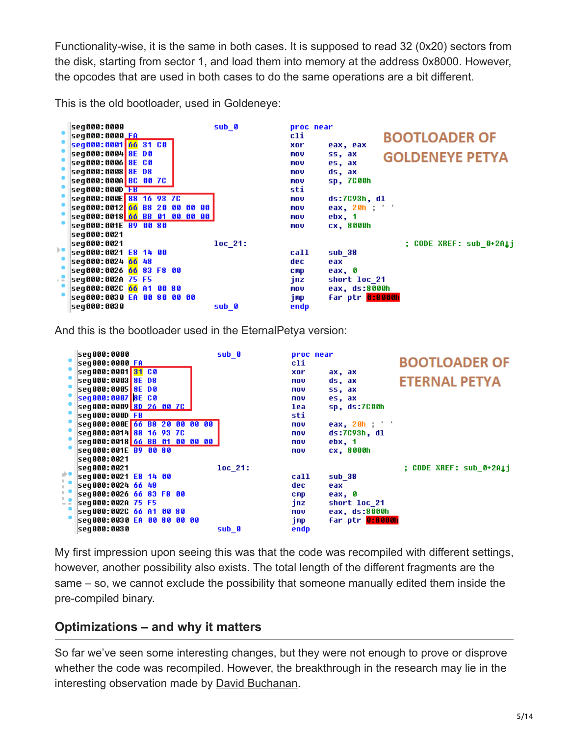Functionality-wise, it is the same in both cases. It is supposed to read 32 (0x20) sectors from the disk, starting from sector 1, and load them into memory at the address 0x8000. However, the opcodes that are used in both cases to do the same operations are a bit different.

This is the old bootloader, used in Goldeneye:



And this is the bootloader used in the EternalPetya version:

|                 | seg000:0000<br> seg000:0000 FA<br>seg000:0001 31 CO<br>seq000:0003 8E D8<br>seq000:0005 8E D0<br>seq000:0007 8E C0<br>seq000:0009 8D 26 00 7C<br>$seq000:0000$ FB<br>seq000:000E 66 B8 20 00 00 00<br>seq000:0014 88 16 93 7C<br>seg000:0018 66 BB 01 00 00 00  <br>seq000:001E B9 00 80 | sub 0              | proc near<br>cli.<br>xor<br>ax, ax<br>ds, ax<br>mov<br>ss, ax<br>mov<br>es, ax<br>mov<br>sp, ds:7C00h<br>lea.<br>sti<br>eax, 20h ; ' '<br><b>MOV</b><br>$ds:7C93h$ , $d1$<br>mov<br>ebx, 1<br><b>MOV</b><br>cx, 8000h<br>mov | <b>BOOTLOADER OF</b><br><b>ETERNAL PETYA</b> |
|-----------------|------------------------------------------------------------------------------------------------------------------------------------------------------------------------------------------------------------------------------------------------------------------------------------------|--------------------|------------------------------------------------------------------------------------------------------------------------------------------------------------------------------------------------------------------------------|----------------------------------------------|
| ∌∎<br>t.<br>t e | seq000:0021<br> seq000:0021<br>seg000:0021 E8 14 00<br>seq000:0024 66 48<br>seq000:0026 66 83 F8 00<br>seg000:002A 75 F5<br>seg000:002C 66 A1 00 80<br>seq000:0030 EA 00 80 00 00<br>seg000:0030                                                                                         | $10c$ 21:<br>sub 0 | call<br>sub 38<br>dec.<br>eax<br>eax, 0<br><b>CMD</b><br>jnz<br>short loc 21<br>eax, ds:8000h<br>mov<br>far ptr 0:8000h<br>jmp<br>endp                                                                                       | : CODE XREF: sub 0+2Ali                      |

My first impression upon seeing this was that the code was recompiled with different settings, however, another possibility also exists. The total length of the different fragments are the same – so, we cannot exclude the possibility that someone manually edited them inside the pre-compiled binary.

# **Optimizations – and why it matters**

So far we've seen some interesting changes, but they were not enough to prove or disprove whether the code was recompiled. However, the breakthrough in the research may lie in the interesting observation made by [David Buchanan](https://twitter.com/David3141593/status/880495627326640128).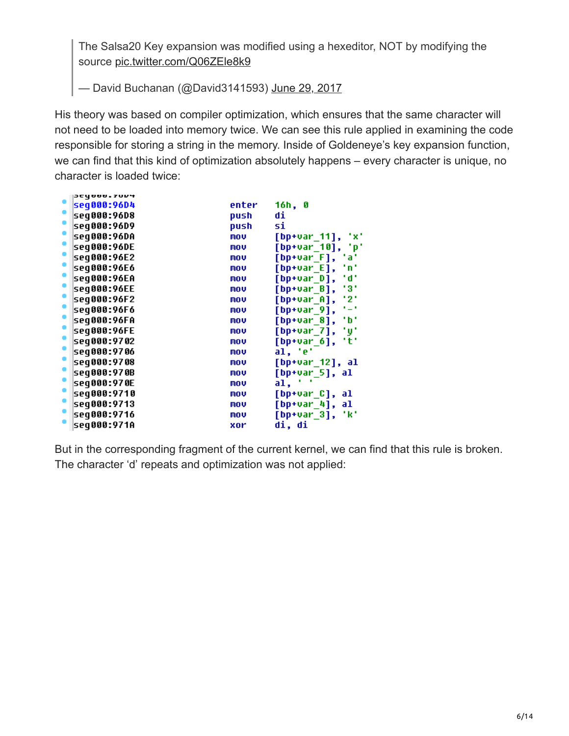The Salsa20 Key expansion was modified using a hexeditor, NOT by modifying the source [pic.twitter.com/Q06ZEle8k9](https://t.co/Q06ZEle8k9)

— David Buchanan (@David3141593) [June 29, 2017](https://twitter.com/David3141593/status/880495627326640128)

His theory was based on compiler optimization, which ensures that the same character will not need to be loaded into memory twice. We can see this rule applied in examining the code responsible for storing a string in the memory. Inside of Goldeneye's key expansion function, we can find that this kind of optimization absolutely happens – every character is unique, no character is loaded twice:

| SCY000.70D4 |       |                           |
|-------------|-------|---------------------------|
| seg000:96D4 | enter | 16h, 0                    |
| seq000:96D8 | push  | di                        |
| seq000:96D9 | push  | si                        |
| seg000:96DA | mov   | [bp+var_11],<br>'x'       |
| seq000:96DE | mov   | [bp+var_10],<br>'р'       |
| seq000:96E2 | mov   | [bp+var F],<br>tat        |
| seq000:96E6 | mov   | $[$ bp+var $_E$ ],<br>'n' |
| seq000:96EA | mov   | 'd'<br>[bp+var D],        |
| seq000:96EE | mov   | [bp+var B],<br>131        |
| seq000:96F2 | mov   | '2'<br>[bp+var_A],        |
| seq000:96F6 | mov   | (م)<br>[bp+var_9],        |
| seq000:96FA | mov   | [bp+var 8],<br>٠ь٠        |
| seq000:96FE | mov   | $[$ bp+var $_7]$ ,<br>'y' |
| seq000:9702 | mov   | [bp+var 6],<br>'t'        |
| seq000:9706 | mov   | al, 'e'                   |
| seq000:9708 | mov   | [bp+var_12], al           |
| seq000:970B | mov   | [bp+var_5], al            |
| seq000:970E | mov   | al,                       |
| seq000:9710 | mov   | [bp+var_C], al            |
| seg000:9713 | mov   | $[bp+var_4], al$          |
| seg000:9716 | mov   | [bp+var_3], 'k'           |
| seq000:971A | xor   | di, di                    |
|             |       |                           |

But in the corresponding fragment of the current kernel, we can find that this rule is broken. The character 'd' repeats and optimization was not applied: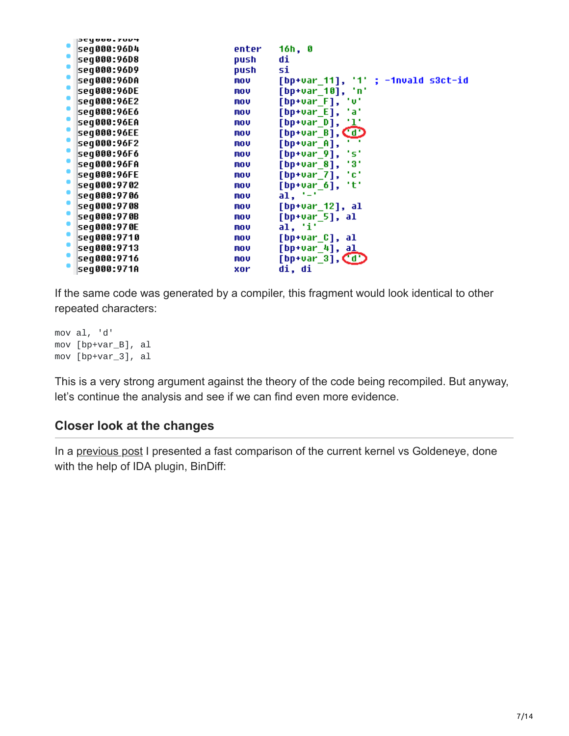|           | SCYANA 20D <del>.</del> |       |                                    |
|-----------|-------------------------|-------|------------------------------------|
|           | seq000:96D4             | enter | 16h, 0                             |
| ۰         | seq000:96D8             | push  | di                                 |
|           | seg000:96D9             | push  | si                                 |
| ۰         | seg000:96DA             | MOV   | [bp+var_11], '1' ; -1nvald s3ct-id |
|           | seq000:96DE             | MOV   | [bp+var_10], 'n'                   |
| $\bullet$ | seq000:96E2             | mov   | [bp+var_F], 'v'                    |
| ۰         | seq000:96E6             | mov   | [bp+var_E], 'a'                    |
|           | seq000:96EA             | MOV   | [bp+var_D], ' <u>l</u> '           |
| ۰         | seq000:96EE             | mov   | $[bp+var_B]$ , $\Box$              |
| ۰         | seq000:96F2             | mov   | $[$ bp+var_A],                     |
|           | seq000:96F6             | MOV   | [bp+var_9], 's'                    |
| ۰         | seq000:96FA             | mov   | [bp+var_8], '3'                    |
| ۰         | seq000:96FE             | mov   | [bp+var_7], 'c'                    |
|           | seg000:9702             | mov   | [bp+var_6],<br>"t"                 |
| ۰         | seq000:9706             | mov   | $a1, '-'$                          |
| ۰         | seq000:9708             | mov   | [bp+var_12], al                    |
|           | seq000:970B             | MOV   | $[bp+var_5]$ , al                  |
| ۰         | seq000:970E             | mov   | al, 'i'                            |
|           | seg000:9710             | mov   | [bp+var_C], al                     |
|           | seq000:9713             | mov   | [bp+var_4], a <u>l</u>             |
| ۰         | seq000:9716             | mov   | [bp+var_3], $\textcircled{d}$      |
|           | seq000:971A             | xor   | di, di                             |

If the same code was generated by a compiler, this fragment would look identical to other repeated characters:

mov al, 'd' mov [bp+var\_B], al mov [bp+var\_3], al

This is a very strong argument against the theory of the code being recompiled. But anyway, let's continue the analysis and see if we can find even more evidence.

# **Closer look at the changes**

In a [previous post](https://blog.malwarebytes.com/threat-analysis/2017/06/eternalpetya-lost-salsa20-key/) I presented a fast comparison of the current kernel vs Goldeneye, done with the help of IDA plugin, BinDiff: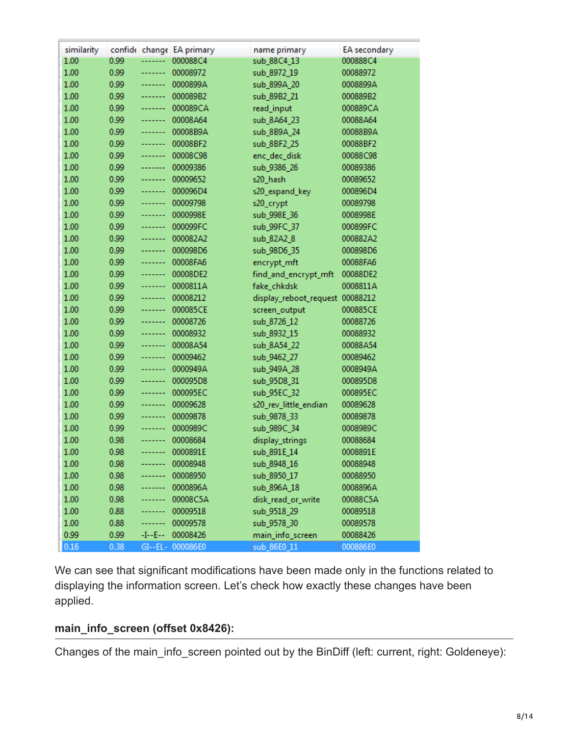| similarity |      |         | confide change EA primary | name primary           | EA secondary |
|------------|------|---------|---------------------------|------------------------|--------------|
| 1.00       | 0.99 | ------- | 000088C4                  | sub_88C4_13            | 000888C4     |
| 1.00       | 0.99 | ------- | 00008972                  | sub_8972_19            | 00088972     |
| 1.00       | 0.99 | ------- | 0000899A                  | sub_899A_20            | 0008899A     |
| 1.00       | 0.99 | ------- | 000089B2                  | sub_89B2_21            | 000889B2     |
| 1.00       | 0.99 | ------- | 000089CA                  | read_input             | 000889CA     |
| 1.00       | 0.99 | ------- | 00008A64                  | sub_8A64_23            | 00088A64     |
| 1.00       | 0.99 | ------- | 00008B9A                  | sub_8B9A_24            | 00088B9A     |
| 1.00       | 0.99 | ------- | 00008BF2                  | sub_8BF2_25            | 00088BF2     |
| 1.00       | 0.99 | ------- | 00008C98                  | enc_dec_disk           | 00088C98     |
| 1.00       | 0.99 | ------- | 00009386                  | sub_9386_26            | 00089386     |
| 1.00       | 0.99 | -----   | 00009652                  | s20_hash               | 00089652     |
| 1.00       | 0.99 | ------- | 000096D4                  | s20_expand_key         | 000896D4     |
| 1.00       | 0.99 | ------- | 00009798                  | s20_crypt              | 00089798     |
| 1.00       | 0.99 | ------- | 0000998E                  | sub_998E_36            | 0008998E     |
| 1.00       | 0.99 | ------- | 000099FC                  | sub_99FC_37            | 000899FC     |
| 1.00       | 0.99 | ------- | 000082A2                  | sub_82A2_8             | 000882A2     |
| 1.00       | 0.99 | ------- | 000098D6                  | sub_98D6_35            | 000898D6     |
| 1.00       | 0.99 | ------- | 00008FA6                  | encrypt_mft            | 00088FA6     |
| 1.00       | 0.99 | ------- | 00008DE2                  | find_and_encrypt_mft   | 00088DE2     |
| 1.00       | 0.99 | ------- | 0000811A                  | fake_chkdsk            | 0008811A     |
| 1.00       | 0.99 | ------- | 00008212                  | display_reboot_request | 00088212     |
| 1.00       | 0.99 | ------- | 000085CE                  | screen_output          | 000885CE     |
| 1.00       | 0.99 | ------- | 00008726                  | sub_8726_12            | 00088726     |
| 1.00       | 0.99 | ------- | 00008932                  | sub_8932_15            | 00088932     |
| 1.00       | 0.99 | ------- | 00008A54                  | sub_8A54_22            | 00088A54     |
| 1.00       | 0.99 | ------- | 00009462                  | sub_9462_27            | 00089462     |
| 1.00       | 0.99 | -----   | 0000949A                  | sub_949A_28            | 0008949A     |
| 1.00       | 0.99 | ------- | 000095D8                  | sub_95D8_31            | 000895D8     |
| 1.00       | 0.99 | ------- | 000095EC                  | sub_95EC_32            | 000895EC     |
| 1.00       | 0.99 | ------- | 00009628                  | s20_rev_little_endian  | 00089628     |
| 1.00       | 0.99 | ------- | 00009878                  | sub_9878_33            | 00089878     |
| 1.00       | 0.99 | ------- | 0000989C                  | sub_989C_34            | 0008989C     |
| 1.00       | 0.98 | ------- | 00008684                  | display_strings        | 00088684     |
| 1.00       | 0.98 | ------- | 0000891E                  | sub_891E_14            | 0008891E     |
| 1.00       | 0.98 | -----   | 00008948                  | sub_8948_16            | 00088948     |
| 1.00       | 0.98 |         | 00008950                  | sub_8950_17            | 00088950     |
| 1.00       | 0.98 |         | 0000896A                  | sub_896A_18            | 0008896A     |
| 1.00       | 0.98 | ------- | 00008C5A                  | disk_read_or_write     | 00088C5A     |
| 1.00       | 0.88 | ------- | 00009518                  | sub_9518_29            | 00089518     |
| 1.00       | 0.88 | ------- | 00009578                  | sub_9578_30            | 00089578     |
| 0.99       | 0.99 | -I--E-- | 00008426                  | main_info_screen       | 00088426     |
| 0.16       | 0.38 |         | GI--EL- 000086E0          | sub 86E0 11            | 000886E0     |

We can see that significant modifications have been made only in the functions related to displaying the information screen. Let's check how exactly these changes have been applied.

#### **main\_info\_screen (offset 0x8426):**

Changes of the main\_info\_screen pointed out by the BinDiff (left: current, right: Goldeneye):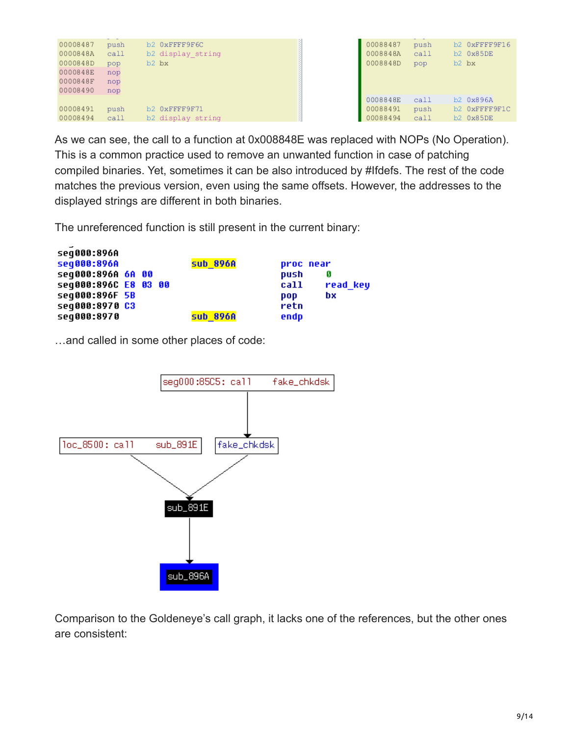| 00008487<br>0000848A<br>0000848D<br>0000848E<br>0000848F<br>00008490 | push<br>call<br>pop<br>nop<br>nop<br>nop | b2 0xFFFF9F6C<br>b2 display string<br>$b2$ $bx$ | 00088487<br>0008848A<br>0008848D | push<br>call<br>pop | b2 0xFFFF9F16<br>b2 0x85DE<br>b <sub>2</sub> bx |
|----------------------------------------------------------------------|------------------------------------------|-------------------------------------------------|----------------------------------|---------------------|-------------------------------------------------|
|                                                                      |                                          |                                                 | 0008848E                         | call                | b2 0x896A                                       |
| 00008491                                                             | push                                     | b2 0xFFFF9F71                                   | 00088491                         | push                | b2 0xFFFF9F1C                                   |
| 00008494                                                             | call                                     | b2 display string                               | 00088494                         | call                | b2 0x85DE                                       |

As we can see, the call to a function at 0x008848E was replaced with NOPs (No Operation). This is a common practice used to remove an unwanted function in case of patching compiled binaries. Yet, sometimes it can be also introduced by #Ifdefs. The rest of the code matches the previous version, even using the same offsets. However, the addresses to the displayed strings are different in both binaries.

The unreferenced function is still present in the current binary:

| seq000:896A          |  |                 |      |           |
|----------------------|--|-----------------|------|-----------|
| seq000:896A          |  | <b>sub 896A</b> |      | proc near |
| seq000:896A 6A 00    |  |                 | push | Ø         |
| seq000:896C E8 03 00 |  |                 | call | read key  |
| seq000:896F 5B       |  |                 | pop  | bx        |
| seq000:8970 C3       |  |                 | retn |           |
| seq000:8970          |  | <b>sub 896A</b> | endp |           |
|                      |  |                 |      |           |

…and called in some other places of code:

 $\overline{a}$ 



Comparison to the Goldeneye's call graph, it lacks one of the references, but the other ones are consistent: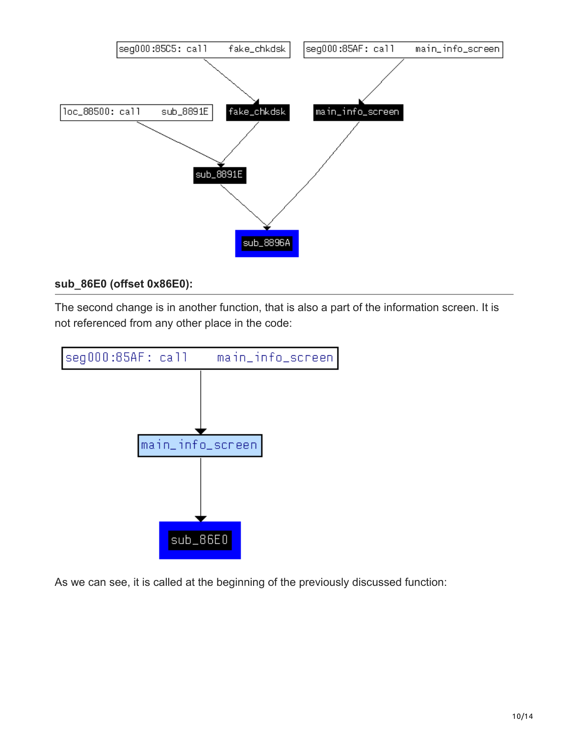

#### **sub\_86E0 (offset 0x86E0):**

The second change is in another function, that is also a part of the information screen. It is not referenced from any other place in the code:



As we can see, it is called at the beginning of the previously discussed function: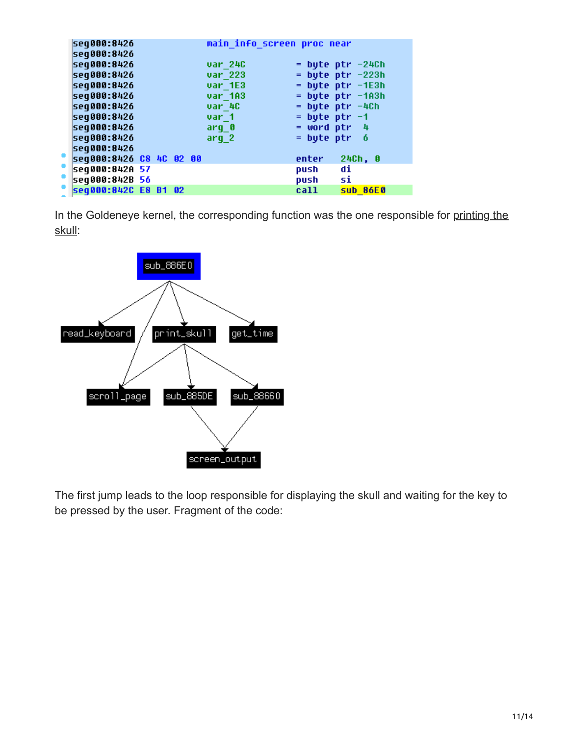| seq000:8426             |  |  | main info screen proc near |                   |                       |
|-------------------------|--|--|----------------------------|-------------------|-----------------------|
| seq000:8426             |  |  |                            |                   |                       |
| seq000:8426             |  |  | var 24C                    |                   | $=$ byte ptr $-24$ Ch |
| seq000:8426             |  |  | var 223                    |                   | $=$ byte ptr $-223h$  |
| seg000:8426             |  |  | var 1E3                    |                   | $=$ byte ptr $-1E3h$  |
| seg000:8426             |  |  | var 1A3                    |                   | $=$ byte ptr $-103h$  |
| seq000:8426             |  |  | var 40                     |                   | $=$ byte ptr $-4Ch$   |
| seq000:8426             |  |  | var 1                      | $=$ byte ptr $-1$ |                       |
| seq000:8426             |  |  | arq 0                      | $=$ word ptr 4    |                       |
| seq000:8426             |  |  | $arg_2$                    | $=$ byte ptr $6$  |                       |
| seq000:8426             |  |  |                            |                   |                       |
| seq000:8426 C8 4C 02 00 |  |  |                            | enter             | 24Ch, 0               |
| seq000:842A 57          |  |  |                            | push              | di                    |
| seq000:842B 56          |  |  |                            | push              | si                    |
| seq000:842C E8 B1 02    |  |  |                            | call              | <b>sub 86E0</b>       |
|                         |  |  |                            |                   |                       |

[In the Goldeneye kernel, the corresponding function was the one responsible for printing the](https://www.youtube.com/watch?v=mSqxFjZq_z4) skull:



The first jump leads to the loop responsible for displaying the skull and waiting for the key to be pressed by the user. Fragment of the code: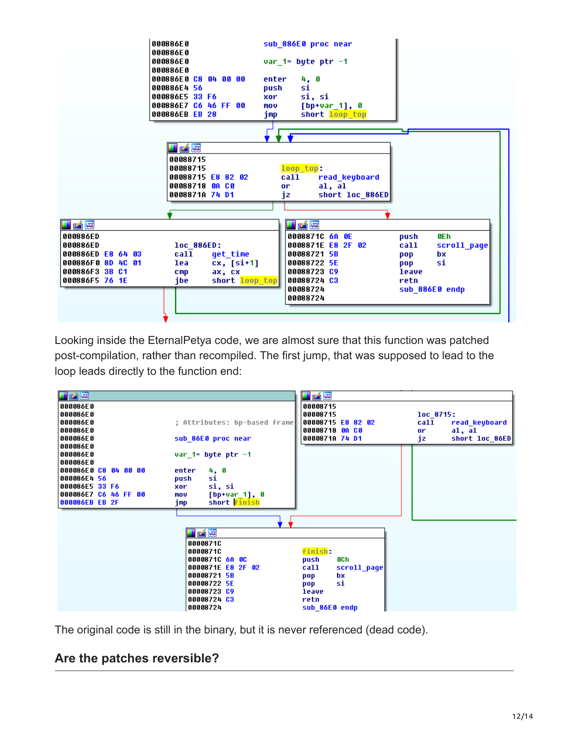

Looking inside the EternalPetya code, we are almost sure that this function was patched post-compilation, rather than recompiled. The first jump, that was supposed to lead to the loop leads directly to the function end:



The original code is still in the binary, but it is never referenced (dead code).

# **Are the patches reversible?**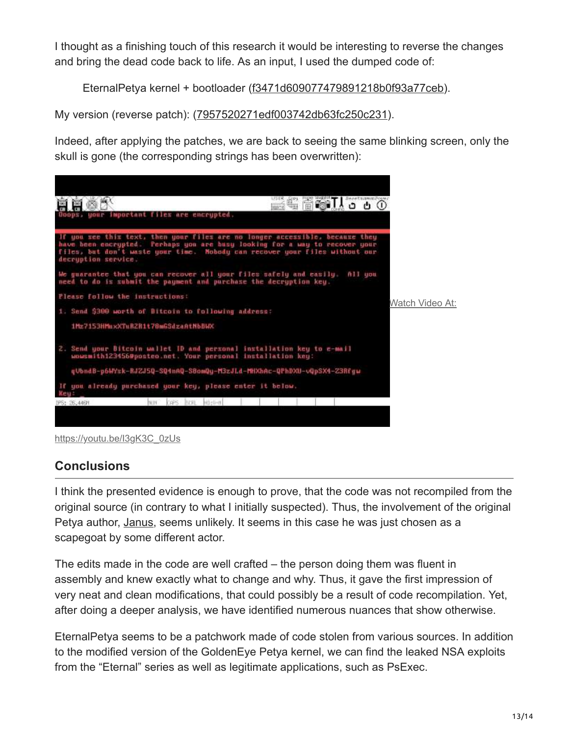I thought as a finishing touch of this research it would be interesting to reverse the changes and bring the dead code back to life. As an input, I used the dumped code of:

```
EternalPetya kernel + bootloader (f3471d609077479891218b0f93a77ceb).
```
My version (reverse patch): ([7957520271edf003742db63fc250c231](https://virustotal.com/en/file/1b06b9b31543522b51304664641882c824b45fa70bce99538533eb4282246f8a/analysis/)).

Indeed, after applying the patches, we are back to seeing the same blinking screen, only the skull is gone (the corresponding strings has been overwritten):





# **Conclusions**

I think the presented evidence is enough to prove, that the code was not recompiled from the original source (in contrary to what I initially suspected). Thus, the involvement of the original Petya author, [Janus](https://twitter.com/JanusSecretary), seems unlikely. It seems in this case he was just chosen as a scapegoat by some different actor.

The edits made in the code are well crafted – the person doing them was fluent in assembly and knew exactly what to change and why. Thus, it gave the first impression of very neat and clean modifications, that could possibly be a result of code recompilation. Yet, after doing a deeper analysis, we have identified numerous nuances that show otherwise.

EternalPetya seems to be a patchwork made of code stolen from various sources. In addition to the modified version of the GoldenEye Petya kernel, we can find the leaked NSA exploits from the "Eternal" series as well as legitimate applications, such as PsExec.